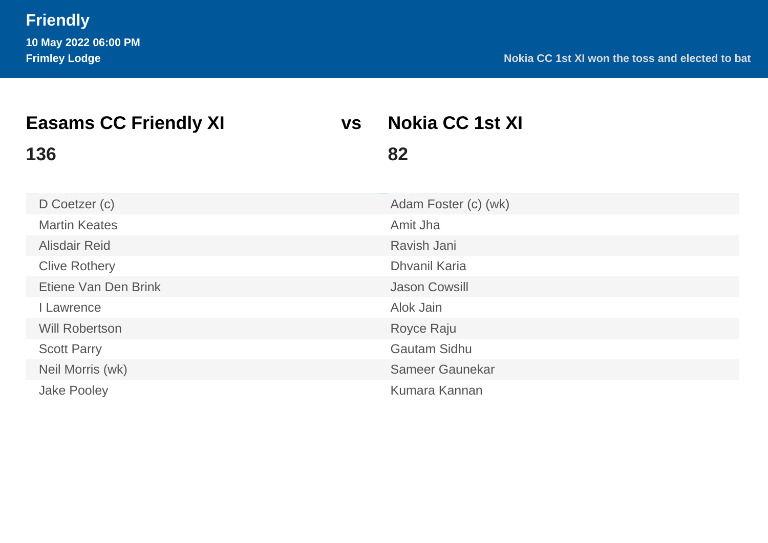| <b>Easams CC Friendly XI</b> | <b>VS</b> | <b>Nokia CC 1st XI</b> |  |
|------------------------------|-----------|------------------------|--|
| 136                          |           | 82                     |  |
| D Coetzer (c)                |           | Adam Foster (c) (wk)   |  |
| <b>Martin Keates</b>         |           | Amit Jha               |  |
| <b>Alisdair Reid</b>         |           | Ravish Jani            |  |
| <b>Clive Rothery</b>         |           | <b>Dhvanil Karia</b>   |  |
| Etiene Van Den Brink         |           | <b>Jason Cowsill</b>   |  |
| Lawrence                     |           | Alok Jain              |  |
| <b>Will Robertson</b>        |           | Royce Raju             |  |
| <b>Scott Parry</b>           |           | <b>Gautam Sidhu</b>    |  |
| Neil Morris (wk)             |           | Sameer Gaunekar        |  |
| <b>Jake Pooley</b>           |           | Kumara Kannan          |  |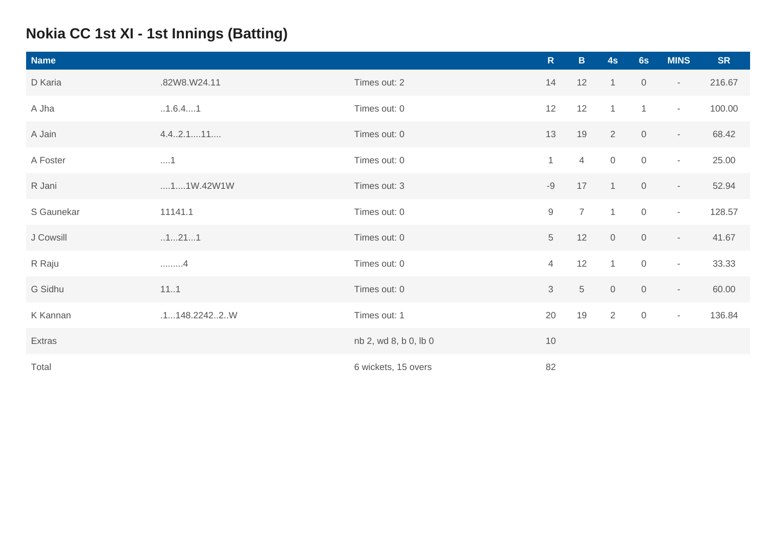# **Nokia CC 1st XI - 1st Innings (Batting)**

| <b>Name</b> |              |                       | $\mathsf{R}$   | $\mathbf{B}$   | 4s             | 6s                  | <b>MINS</b>              | <b>SR</b> |
|-------------|--------------|-----------------------|----------------|----------------|----------------|---------------------|--------------------------|-----------|
| D Karia     | .82W8.W24.11 | Times out: 2          | 14             | 12             | $\mathbf{1}$   | $\boldsymbol{0}$    | $\sim$                   | 216.67    |
| A Jha       | .1.6.41      | Times out: 0          | 12             | 12             | $\mathbf{1}$   | $\mathbf{1}$        | $\sim$                   | 100.00    |
| A Jain      | 4.4.2.111    | Times out: 0          | 13             | 19             | $\overline{2}$ | $\mathsf{O}\xspace$ | $\overline{\phantom{a}}$ | 68.42     |
| A Foster    | $\dots 1$    | Times out: 0          | $\mathbf{1}$   | $\overline{4}$ | $\overline{0}$ | $\mathsf{O}$        | $\overline{\phantom{a}}$ | 25.00     |
| R Jani      | 11W.42W1W    | Times out: 3          | $-9$           | 17             | $\mathbf{1}$   | $\mathsf{O}\xspace$ | $\overline{\phantom{a}}$ | 52.94     |
| S Gaunekar  | 11141.1      | Times out: 0          | $\hbox{9}$     | $\overline{7}$ | $\mathbf{1}$   | $\mathbf 0$         | $\sim$                   | 128.57    |
| J Cowsill   | .1211        | Times out: 0          | 5              | 12             | $\overline{0}$ | $\mathsf{O}\xspace$ | $\overline{\phantom{a}}$ | 41.67     |
| R Raju      | . 4          | Times out: 0          | $\overline{4}$ | 12             | $\mathbf{1}$   | $\mathbf 0$         | $\overline{\phantom{a}}$ | 33.33     |
| G Sidhu     | 111          | Times out: 0          | 3              | $\sqrt{5}$     | $\overline{0}$ | $\mathbf 0$         | $\sim$                   | 60.00     |
| K Kannan    | .1148.22422W | Times out: 1          | 20             | 19             | $\overline{2}$ | $\mathsf{O}\xspace$ | $\overline{\phantom{a}}$ | 136.84    |
| Extras      |              | nb 2, wd 8, b 0, lb 0 | 10             |                |                |                     |                          |           |
| Total       |              | 6 wickets, 15 overs   | 82             |                |                |                     |                          |           |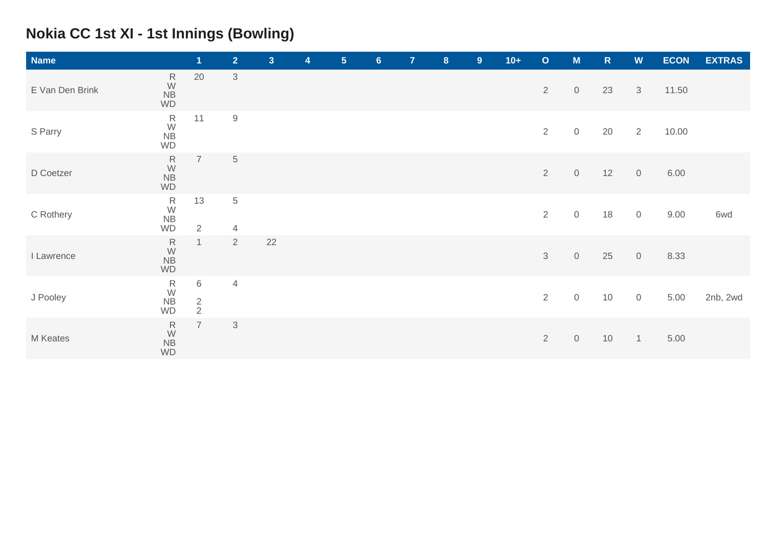# **Nokia CC 1st XI - 1st Innings (Bowling)**

| <b>Name</b>     |                                                                              | $\mathbf{1}$         | 2 <sup>1</sup>                   | 3 <sup>1</sup> | $\overline{\mathbf{4}}$ | 5 <sub>5</sub> | 6 <sup>1</sup> | $\mathbf{7}$ | 8 | 9 | $10+$ | $\mathbf{o}$   | M                   | $\mathsf{R}$ | W              | <b>ECON</b> | <b>EXTRAS</b> |
|-----------------|------------------------------------------------------------------------------|----------------------|----------------------------------|----------------|-------------------------|----------------|----------------|--------------|---|---|-------|----------------|---------------------|--------------|----------------|-------------|---------------|
| E Van Den Brink | $\mathsf{R}$<br>$\frac{W}{NB}$<br>WD                                         | 20                   | $\ensuremath{\mathsf{3}}$        |                |                         |                |                |              |   |   |       | $\overline{2}$ | $\mathbf 0$         | 23           | $\mathfrak{S}$ | 11.50       |               |
| S Parry         | ${\sf R}$<br>W<br>NB<br><b>WD</b>                                            | 11                   | $\mathbf 9$                      |                |                         |                |                |              |   |   |       | $\overline{2}$ | $\mathsf{O}\xspace$ | 20           | $\overline{2}$ | 10.00       |               |
| D Coetzer       | $\frac{R}{W}$<br><b>NB</b><br>WD                                             | $\overline{7}$       | $\mathbf 5$                      |                |                         |                |                |              |   |   |       | $\overline{2}$ | $\mathbf 0$         | 12           | $\sqrt{0}$     | 6.00        |               |
| C Rothery       | $R$ W<br>NB<br><b>WD</b>                                                     | 13<br>$\overline{2}$ | $\overline{5}$<br>$\overline{4}$ |                |                         |                |                |              |   |   |       | $\overline{2}$ | $\mathsf O$         | 18           | $\mathbb O$    | 9.00        | 6wd           |
| I Lawrence      | ${\sf R}$<br>W<br>NB<br>WD                                                   | $\mathbf{1}$         | 2                                | 22             |                         |                |                |              |   |   |       | 3              | $\mathsf O$         | 25           | $\mathbf 0$    | 8.33        |               |
| J Pooley        | $\begin{array}{c} R \\ \textrm{W} \\ \textrm{NB} \\ \textrm{WD} \end{array}$ | 6<br>$\frac{2}{2}$   | $\overline{4}$                   |                |                         |                |                |              |   |   |       | $\overline{2}$ | $\mathsf O$         | 10           | $\mathbb O$    | 5.00        | 2nb, 2wd      |
| M Keates        | $\mathsf R$<br>W<br>NB<br>WD                                                 | $\overline{7}$       | 3                                |                |                         |                |                |              |   |   |       | $\overline{2}$ | $\mathsf O$         | 10           | $\mathbf{1}$   | 5.00        |               |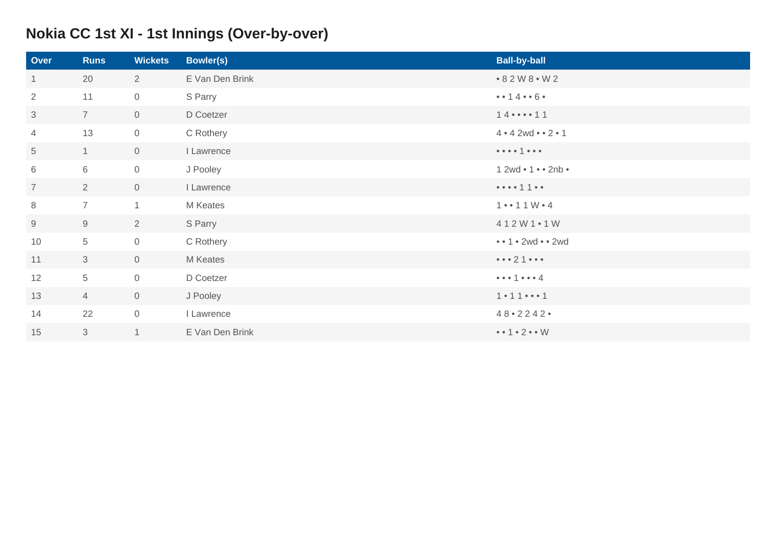# **Nokia CC 1st XI - 1st Innings (Over-by-over)**

| Over           | <b>Runs</b>    | <b>Wickets</b>      | <b>Bowler(s)</b> | <b>Ball-by-ball</b>                                            |
|----------------|----------------|---------------------|------------------|----------------------------------------------------------------|
| $\mathbf{1}$   | 20             | $\overline{2}$      | E Van Den Brink  | • 8 2 W 8 • W 2                                                |
| $\overline{2}$ | 11             | $\overline{0}$      | S Parry          | $\bullet \bullet 14 \bullet \bullet 6 \bullet$                 |
| 3              | $\overline{7}$ | $\overline{0}$      | D Coetzer        | $14 \cdots 11$                                                 |
| 4              | 13             | $\mathsf{O}\xspace$ | C Rothery        | 4 • 4 2wd • 2 • 1                                              |
| 5              | 1              | $\overline{0}$      | I Lawrence       | $\bullet\bullet\bullet\bullet\uparrow\bullet\bullet\bullet$    |
| 6              | $6\,$          | $\overline{0}$      | J Pooley         | $12wd \cdot 1 \cdot 2nb \cdot$                                 |
| $\overline{7}$ | $\overline{2}$ | $\overline{0}$      | I Lawrence       |                                                                |
| 8              | $\overline{7}$ | $\mathbf{1}$        | M Keates         | $1 \cdot 11 \cdot 4$                                           |
| 9              | 9              | $\overline{2}$      | S Parry          | 412W1.1W                                                       |
| 10             | 5              | $\overline{0}$      | C Rothery        | $\bullet \bullet 1 \bullet 2wd \bullet \bullet 2wd$            |
| 11             | $\mathfrak{Z}$ | $\mathsf{O}$        | M Keates         | $\bullet\bullet\bullet 2\uparrow\bullet\bullet\bullet$         |
| 12             | $\overline{5}$ | $\overline{0}$      | D Coetzer        | $\bullet\bullet\bullet\uparrow\bullet\bullet\bullet\downarrow$ |
| 13             | $\overline{4}$ | $\overline{0}$      | J Pooley         | $1 \cdot 11 \cdot \cdot \cdot 1$                               |
| 14             | 22             | $\mathbf 0$         | I Lawrence       | $48 \cdot 2242$                                                |
| 15             | 3              | $\mathbf 1$         | E Van Den Brink  | $\bullet \bullet 1 \bullet 2 \bullet \bullet W$                |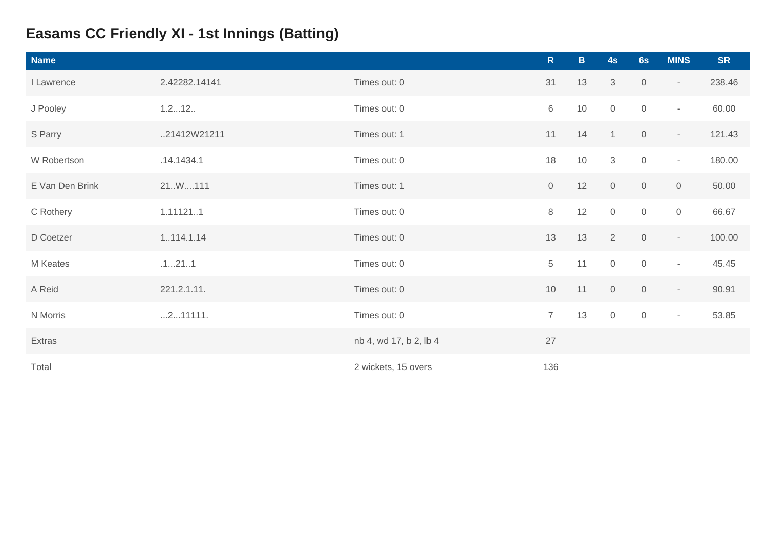# **Easams CC Friendly XI - 1st Innings (Batting)**

| <b>Name</b>     |               |                        | $\mathsf{R}$   | $\mathbf{B}$ | 4s             | 6s                  | <b>MINS</b> | <b>SR</b> |
|-----------------|---------------|------------------------|----------------|--------------|----------------|---------------------|-------------|-----------|
| I Lawrence      | 2.42282.14141 | Times out: 0           | 31             | 13           | 3              | $\overline{0}$      | $\sim$      | 238.46    |
| J Pooley        | 1.212         | Times out: 0           | 6              | 10           | $\mathbf 0$    | $\mathsf{O}\xspace$ | $\sim$      | 60.00     |
| S Parry         | 21412W21211   | Times out: 1           | 11             | 14           | $\mathbf{1}$   | $\mathsf{O}$        | $\sim$      | 121.43    |
| W Robertson     | .14.1434.1    | Times out: 0           | 18             | 10           | $\mathcal{S}$  | $\mathsf{O}\xspace$ | $\sim$      | 180.00    |
| E Van Den Brink | 21.W111       | Times out: 1           | $\mathbf 0$    | 12           | $\mathbf 0$    | $\mathsf{O}\xspace$ | $\mathbf 0$ | 50.00     |
| C Rothery       | 1.111211      | Times out: 0           | $\,8\,$        | 12           | $\mathbf 0$    | $\mathsf{O}\xspace$ | $\mathbf 0$ | 66.67     |
| D Coetzer       | 1114.1.14     | Times out: 0           | 13             | 13           | $\overline{2}$ | $\mathsf{O}\xspace$ | $\sim$      | 100.00    |
| M Keates        | .1211         | Times out: 0           | 5              | 11           | $\mathbb O$    | $\mathbb O$         | $\sim$      | 45.45     |
| A Reid          | 221.2.1.11.   | Times out: 0           | $10$           | 11           | $\overline{0}$ | $\mathsf{O}\xspace$ | $\sim$      | 90.91     |
| N Morris        | 211111.       | Times out: 0           | $\overline{7}$ | 13           | $\mathbf 0$    | $\overline{0}$      | $\sim$      | 53.85     |
| Extras          |               | nb 4, wd 17, b 2, lb 4 | 27             |              |                |                     |             |           |
| Total           |               | 2 wickets, 15 overs    | 136            |              |                |                     |             |           |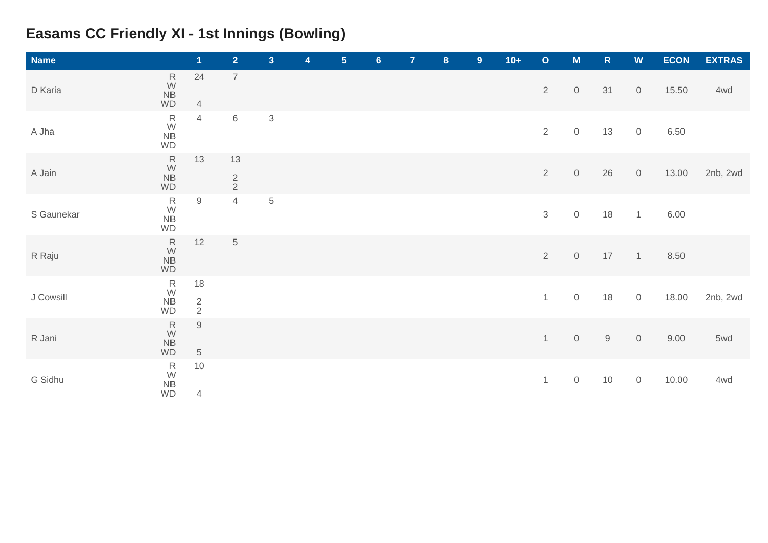# **Easams CC Friendly XI - 1st Innings (Bowling)**

| <b>Name</b> |                                                                              | $\overline{1}$             | $\overline{2}$      | 3 <sup>1</sup> | 4 | $5\phantom{1}$ | $6\phantom{a}$ | $\overline{7}$ | $\boldsymbol{8}$ | 9 <sup>°</sup> | $10+$ | $\mathbf O$    | M                   | ${\sf R}$   | ${\bf W}$           | <b>ECON</b> | <b>EXTRAS</b> |
|-------------|------------------------------------------------------------------------------|----------------------------|---------------------|----------------|---|----------------|----------------|----------------|------------------|----------------|-------|----------------|---------------------|-------------|---------------------|-------------|---------------|
| D Karia     | $\begin{array}{c} R \\ W \\ NB \end{array}$<br>WD                            | 24<br>$\overline{4}$       | $\boldsymbol{7}$    |                |   |                |                |                |                  |                |       | $\overline{2}$ | $\mathsf O$         | 31          | $\overline{0}$      | 15.50       | 4wd           |
| A Jha       | ${\sf R}$<br>W<br>NB<br>WD                                                   | $\overline{4}$             | $\,6$               | $\sqrt{3}$     |   |                |                |                |                  |                |       | $\overline{2}$ | $\mathsf{O}\xspace$ | 13          | $\mathsf{O}$        | 6.50        |               |
| A Jain      | $\frac{R}{W}$<br>NB<br>WD                                                    | 13                         | 13<br>$\frac{2}{2}$ |                |   |                |                |                |                  |                |       | $\sqrt{2}$     | $\,0\,$             | 26          | $\mathsf{O}$        | 13.00       | 2nb, 2wd      |
| S Gaunekar  | $R$ W<br>NB<br>$\overline{AB}$<br>WD                                         | $9\,$                      | $\overline{4}$      | $\sqrt{5}$     |   |                |                |                |                  |                |       | $\sqrt{3}$     | $\mathsf{O}\xspace$ | 18          | $\mathbf{1}$        | 6.00        |               |
| R Raju      | $\frac{R}{W}$<br>NB<br>WD                                                    | 12                         | $\mathbf 5$         |                |   |                |                |                |                  |                |       | $\overline{2}$ | $\,0\,$             | 17          | $\overline{1}$      | 8.50        |               |
| J Cowsill   | $R$ W<br>NB<br><b>WD</b>                                                     | 18<br>$\frac{2}{2}$        |                     |                |   |                |                |                |                  |                |       | $\mathbf{1}$   | $\mathbf 0$         | 18          | $\mathsf{O}$        | 18.00       | 2nb, 2wd      |
| R Jani      | $\begin{array}{c} R \\ W \\ NB \end{array}$<br>WD                            | $\mathsf 9$<br>$\,$ 5 $\,$ |                     |                |   |                |                |                |                  |                |       | $\mathbf{1}$   | $\mathbf 0$         | $\mathsf g$ | $\mathsf{O}$        | 9.00        | 5wd           |
| G Sidhu     | $\begin{array}{c} R \\ \textrm{W} \\ \textrm{NB} \\ \textrm{WD} \end{array}$ | $10$<br>$\overline{4}$     |                     |                |   |                |                |                |                  |                |       | $\mathbf{1}$   | $\,0\,$             | 10          | $\mathsf{O}\xspace$ | 10.00       | 4wd           |